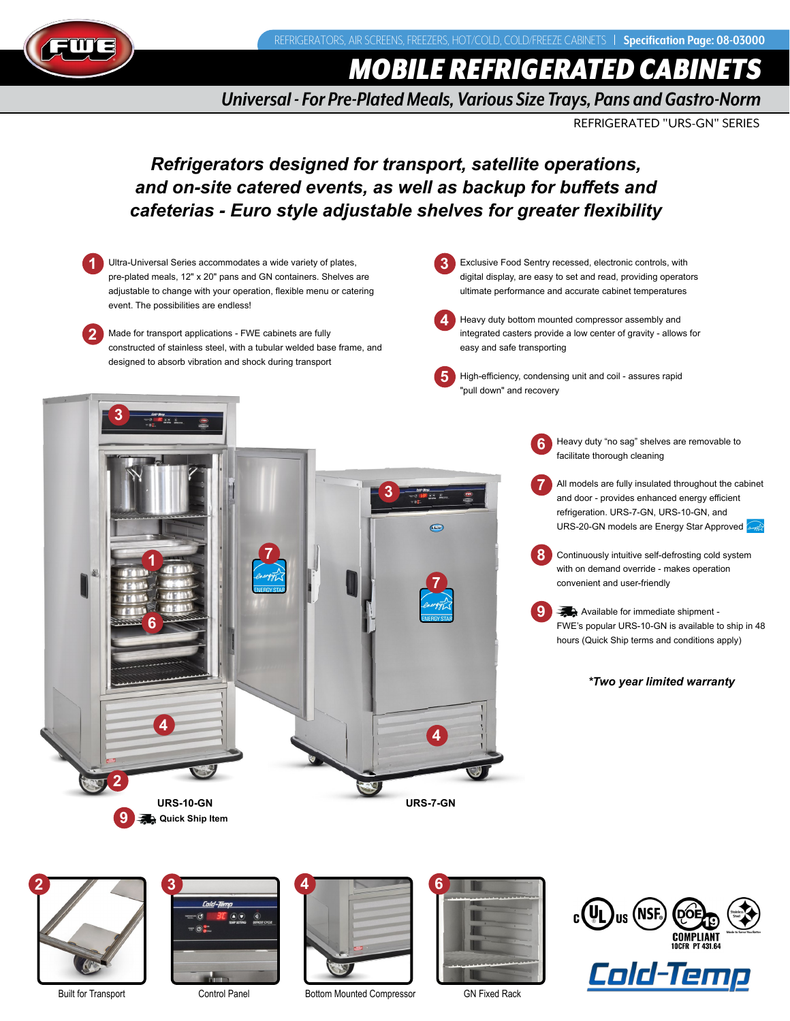REFRIGERATORS, AIR SCREENS, FREEZERS, HOT/COLD, COLD/FREEZE CABINETS | Specification Page: 08-03000



*MOBILE REFRIGERATED CABINETS*

*Universal - For Pre-Plated Meals, Various Size Trays, Pans and Gastro-Norm*

REFRIGERATED "URS-GN" SERIES

# *Refrigerators designed for transport, satellite operations, and on-site catered events, as well as backup for buffets and cafeterias - Euro style adjustable shelves for greater flexibility*

Heavy duty "no sag" shelves are removable to facilitate thorough cleaning All models are fully insulated throughout the cabinet and door - provides enhanced energy efficient refrigeration. URS-7-GN, URS-10-GN, and URS-20-GN models are Energy Star Approved Continuously intuitive self-defrosting cold system with on demand override - makes operation convenient and user-friendly  $\rightarrow$  Available for immediate shipment -FWE's popular URS-10-GN is available to ship in 48 hours (Quick Ship terms and conditions apply) *\*Two year limited warranty* **1 1 2 2 3 4 5 3 3 6 6 7 8 9 9 <sup>4</sup> <sup>4</sup>** Ultra-Universal Series accommodates a wide variety of plates, pre-plated meals, 12" x 20" pans and GN containers. Shelves are adjustable to change with your operation, flexible menu or catering event. The possibilities are endless! Made for transport applications - FWE cabinets are fully constructed of stainless steel, with a tubular welded base frame, and designed to absorb vibration and shock during transport Exclusive Food Sentry recessed, electronic controls, with digital display, are easy to set and read, providing operators ultimate performance and accurate cabinet temperatures Heavy duty bottom mounted compressor assembly and integrated casters provide a low center of gravity - allows for easy and safe transporting High-efficiency, condensing unit and coil - assures rapid "pull down" and recovery **Quick Ship Item 7 7 URS-10-GN URS-7-GN**







Built for Transport Control Panel Bottom Mounted Compressor GN Fixed Rack